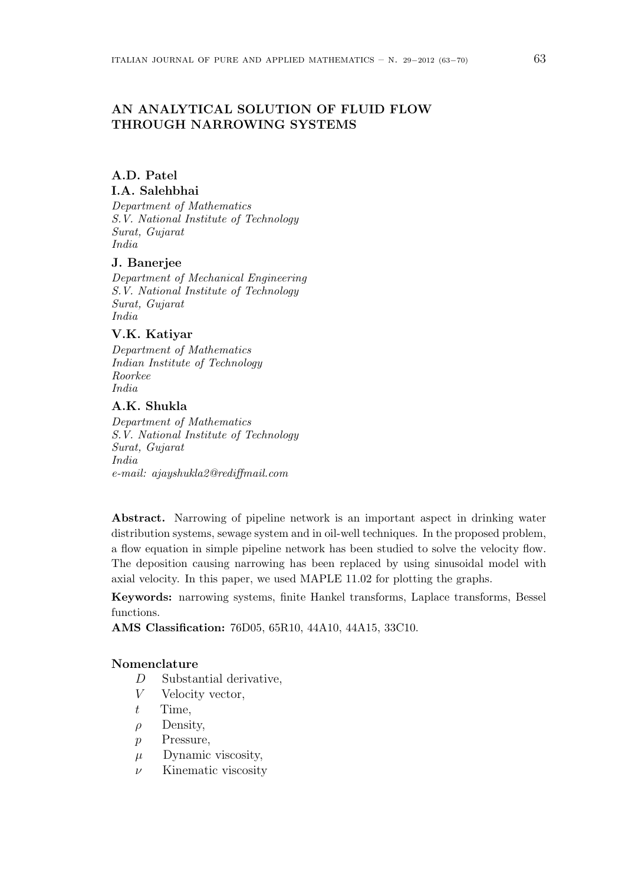# AN ANALYTICAL SOLUTION OF FLUID FLOW THROUGH NARROWING SYSTEMS

## A.D. Patel I.A. Salehbhai

Department of Mathematics S.V. National Institute of Technology Surat, Gujarat India

### J. Banerjee

Department of Mechanical Engineering S.V. National Institute of Technology Surat, Gujarat India

### V.K. Katiyar

Department of Mathematics Indian Institute of Technology Roorkee India

## A.K. Shukla

Department of Mathematics S.V. National Institute of Technology Surat, Gujarat India e-mail: ajayshukla2@rediffmail.com

Abstract. Narrowing of pipeline network is an important aspect in drinking water distribution systems, sewage system and in oil-well techniques. In the proposed problem, a flow equation in simple pipeline network has been studied to solve the velocity flow. The deposition causing narrowing has been replaced by using sinusoidal model with axial velocity. In this paper, we used MAPLE 11.02 for plotting the graphs.

Keywords: narrowing systems, finite Hankel transforms, Laplace transforms, Bessel functions.

AMS Classification: 76D05, 65R10, 44A10, 44A15, 33C10.

### Nomenclature

- D Substantial derivative,
- V Velocity vector,
- t Time,
- $\rho$  Density,
- p Pressure,
- $\mu$  Dynamic viscosity,
- $\nu$  Kinematic viscosity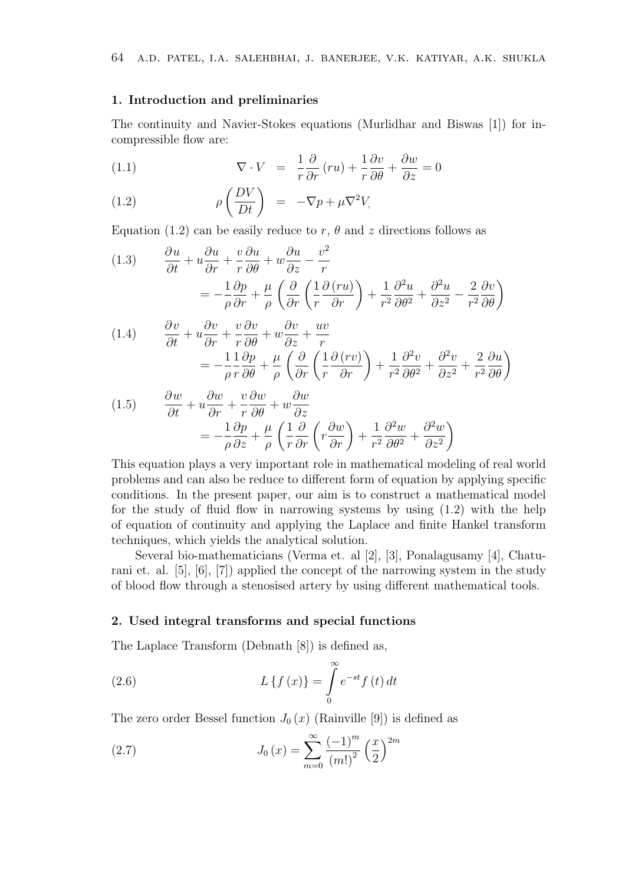#### 1. Introduction and preliminaries

The continuity and Navier-Stokes equations (Murlidhar and Biswas [1]) for incompressible flow are:

(1.1) 
$$
\nabla \cdot V = \frac{1}{r} \frac{\partial}{\partial r} (r u) + \frac{1}{r} \frac{\partial v}{\partial \theta} + \frac{\partial w}{\partial z} = 0
$$

(1.2) 
$$
\rho\left(\frac{DV}{Dt}\right) = -\nabla p + \mu \nabla^2 V,
$$

Equation (1.2) can be easily reduce to r,  $\theta$  and z directions follows as

(1.3) 
$$
\frac{\partial u}{\partial t} + u \frac{\partial u}{\partial r} + \frac{v}{r} \frac{\partial u}{\partial \theta} + w \frac{\partial u}{\partial z} - \frac{v^2}{r}
$$

$$
= -\frac{1}{\rho} \frac{\partial p}{\partial r} + \frac{\mu}{\rho} \left( \frac{\partial}{\partial r} \left( \frac{1}{r} \frac{\partial (ru)}{\partial r} \right) + \frac{1}{r^2} \frac{\partial^2 u}{\partial \theta^2} + \frac{\partial^2 u}{\partial z^2} - \frac{2}{r^2} \frac{\partial v}{\partial \theta} \right)
$$

(1.4) 
$$
\frac{\partial v}{\partial t} + u \frac{\partial v}{\partial r} + \frac{v}{r} \frac{\partial v}{\partial \theta} + w \frac{\partial v}{\partial z} + \frac{uv}{r}
$$

$$
= -\frac{1}{\rho} \frac{1}{r} \frac{\partial p}{\partial \theta} + \frac{\mu}{\rho} \left( \frac{\partial}{\partial r} \left( \frac{1}{r} \frac{\partial (rv)}{\partial r} \right) + \frac{1}{r^2} \frac{\partial^2 v}{\partial \theta^2} + \frac{\partial^2 v}{\partial z^2} + \frac{2}{r^2} \frac{\partial u}{\partial \theta} \right)
$$

(1.5) 
$$
\begin{aligned}\n\frac{\partial w}{\partial t} + u \frac{\partial w}{\partial r} + v \frac{\partial w}{\partial \theta} + w \frac{\partial w}{\partial z} \\
&= -\frac{1}{\rho} \frac{\partial p}{\partial z} + \frac{\mu}{\rho} \left( \frac{1}{r} \frac{\partial}{\partial r} \left( r \frac{\partial w}{\partial r} \right) + \frac{1}{r^2} \frac{\partial^2 w}{\partial \theta^2} + \frac{\partial^2 w}{\partial z^2} \right)\n\end{aligned}
$$

This equation plays a very important role in mathematical modeling of real world problems and can also be reduce to different form of equation by applying specific conditions. In the present paper, our aim is to construct a mathematical model for the study of fluid flow in narrowing systems by using (1.2) with the help of equation of continuity and applying the Laplace and finite Hankel transform techniques, which yields the analytical solution.

Several bio-mathematicians (Verma et. al [2], [3], Ponalagusamy [4], Chaturani et. al. [5], [6], [7]) applied the concept of the narrowing system in the study of blood flow through a stenosised artery by using different mathematical tools.

### 2. Used integral transforms and special functions

The Laplace Transform (Debnath [8]) is defined as,

(2.6) 
$$
L\left\{f\left(x\right)\right\} = \int_{0}^{\infty} e^{-st} f\left(t\right) dt
$$

The zero order Bessel function  $J_0(x)$  (Rainville [9]) is defined as

(2.7) 
$$
J_0(x) = \sum_{m=0}^{\infty} \frac{(-1)^m}{(m!)^2} \left(\frac{x}{2}\right)^{2m}
$$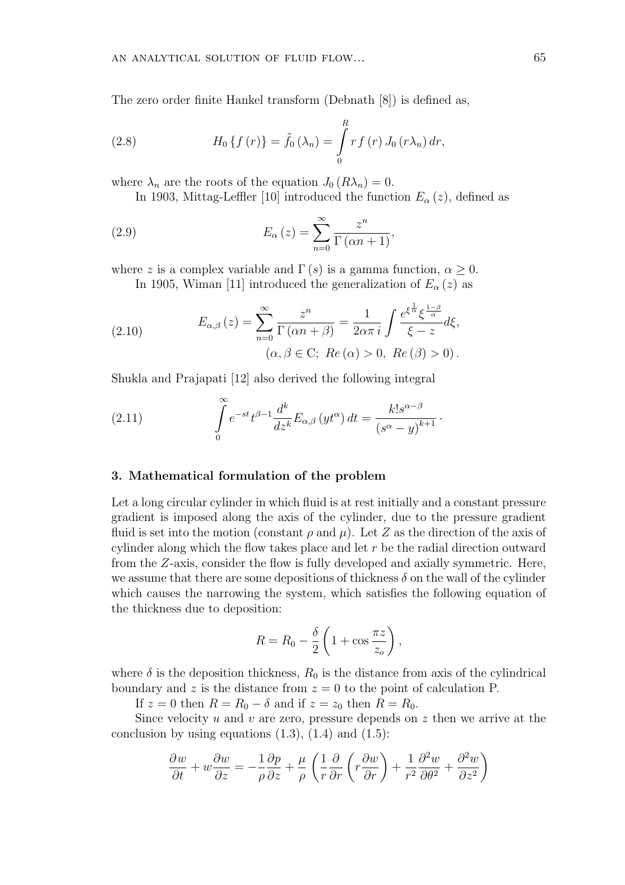The zero order finite Hankel transform (Debnath [8]) is defined as,

(2.8) 
$$
H_0 \{f(r)\} = \tilde{f}_0 (\lambda_n) = \int_0^R r f(r) J_0 (r \lambda_n) dr,
$$

where  $\lambda_n$  are the roots of the equation  $J_0(R\lambda_n) = 0$ .

In 1903, Mittag-Leffler [10] introduced the function  $E_{\alpha}(z)$ , defined as

(2.9) 
$$
E_{\alpha}(z) = \sum_{n=0}^{\infty} \frac{z^n}{\Gamma(\alpha n + 1)},
$$

where z is a complex variable and  $\Gamma(s)$  is a gamma function,  $\alpha \geq 0$ .

In 1905, Wiman [11] introduced the generalization of  $E_{\alpha}(z)$  as

(2.10) 
$$
E_{\alpha,\beta}(z) = \sum_{n=0}^{\infty} \frac{z^n}{\Gamma(\alpha n + \beta)} = \frac{1}{2\alpha \pi i} \int \frac{e^{\xi^{\frac{1}{\alpha}} \xi^{\frac{1-\beta}{\alpha}}}}{\xi - z} d\xi,
$$

$$
(\alpha, \beta \in \mathcal{C}; \ Re(\alpha) > 0, \ Re(\beta) > 0).
$$

Shukla and Prajapati [12] also derived the following integral

(2.11) 
$$
\int_{0}^{\infty} e^{-st} t^{\beta-1} \frac{d^{k}}{dz^{k}} E_{\alpha,\beta} (yt^{\alpha}) dt = \frac{k! s^{\alpha-\beta}}{(s^{\alpha}-y)^{k+1}}.
$$

## 3. Mathematical formulation of the problem

Let a long circular cylinder in which fluid is at rest initially and a constant pressure gradient is imposed along the axis of the cylinder, due to the pressure gradient fluid is set into the motion (constant  $\rho$  and  $\mu$ ). Let Z as the direction of the axis of cylinder along which the flow takes place and let  $r$  be the radial direction outward from the Z-axis, consider the flow is fully developed and axially symmetric. Here, we assume that there are some depositions of thickness  $\delta$  on the wall of the cylinder which causes the narrowing the system, which satisfies the following equation of the thickness due to deposition:

$$
R = R_0 - \frac{\delta}{2} \left( 1 + \cos \frac{\pi z}{z_o} \right),
$$

where  $\delta$  is the deposition thickness,  $R_0$  is the distance from axis of the cylindrical boundary and z is the distance from  $z = 0$  to the point of calculation P.

If  $z = 0$  then  $R = R_0 - \delta$  and if  $z = z_0$  then  $R = R_0$ .

Since velocity  $u$  and  $v$  are zero, pressure depends on  $z$  then we arrive at the conclusion by using equations  $(1.3)$ ,  $(1.4)$  and  $(1.5)$ :

$$
\frac{\partial w}{\partial t} + w \frac{\partial w}{\partial z} = -\frac{1}{\rho} \frac{\partial p}{\partial z} + \frac{\mu}{\rho} \left( \frac{1}{r} \frac{\partial}{\partial r} \left( r \frac{\partial w}{\partial r} \right) + \frac{1}{r^2} \frac{\partial^2 w}{\partial \theta^2} + \frac{\partial^2 w}{\partial z^2} \right)
$$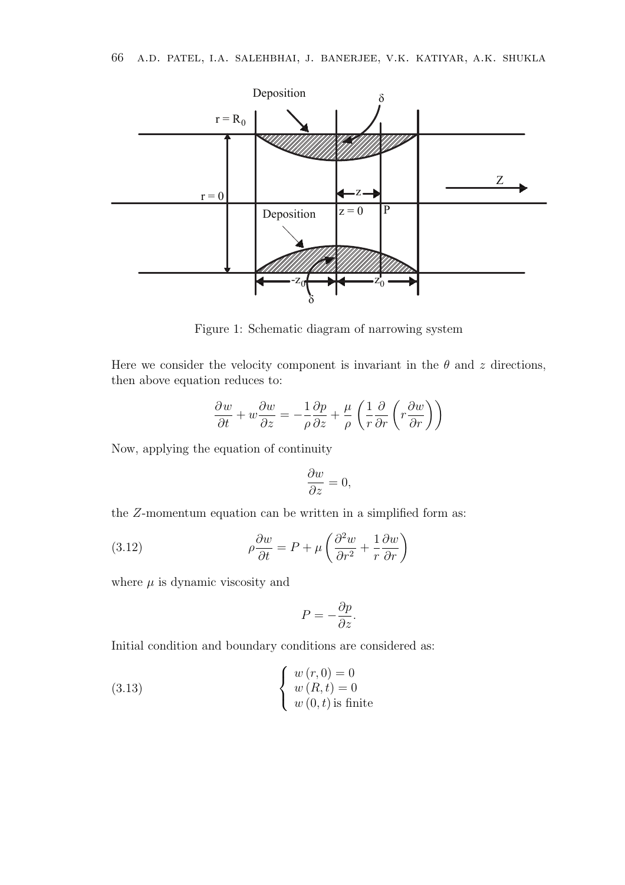

Figure 1: Schematic diagram of narrowing system

Here we consider the velocity component is invariant in the  $\theta$  and z directions, then above equation reduces to:

$$
\frac{\partial w}{\partial t} + w \frac{\partial w}{\partial z} = -\frac{1}{\rho} \frac{\partial p}{\partial z} + \frac{\mu}{\rho} \left( \frac{1}{r} \frac{\partial}{\partial r} \left( r \frac{\partial w}{\partial r} \right) \right)
$$

Now, applying the equation of continuity

$$
\frac{\partial w}{\partial z} = 0,
$$

the Z-momentum equation can be written in a simplified form as:

(3.12) 
$$
\rho \frac{\partial w}{\partial t} = P + \mu \left( \frac{\partial^2 w}{\partial r^2} + \frac{1}{r} \frac{\partial w}{\partial r} \right)
$$

where  $\mu$  is dynamic viscosity and

$$
P = -\frac{\partial p}{\partial z}.
$$

Initial condition and boundary conditions are considered as:

(3.13) 
$$
\begin{cases} w(r,0) = 0 \\ w(R,t) = 0 \\ w(0,t) \text{ is finite} \end{cases}
$$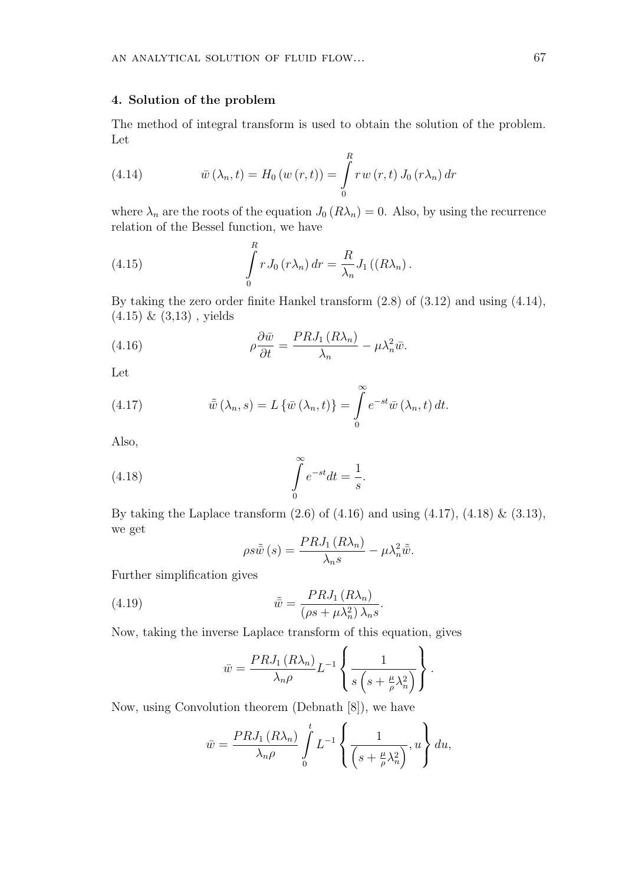#### 4. Solution of the problem

The method of integral transform is used to obtain the solution of the problem. Let

(4.14) 
$$
\bar{w}(\lambda_n, t) = H_0(w(r, t)) = \int_0^R r w(r, t) J_0(r\lambda_n) dr
$$

where  $\lambda_n$  are the roots of the equation  $J_0(R\lambda_n) = 0$ . Also, by using the recurrence relation of the Bessel function, we have

(4.15) 
$$
\int_{0}^{R} r J_0(r\lambda_n) dr = \frac{R}{\lambda_n} J_1((R\lambda_n)).
$$

By taking the zero order finite Hankel transform (2.8) of (3.12) and using (4.14),  $(4.15) \& (3.13)$ , yields

(4.16) 
$$
\rho \frac{\partial \bar{w}}{\partial t} = \frac{PRJ_1(R\lambda_n)}{\lambda_n} - \mu \lambda_n^2 \bar{w}.
$$

Let

(4.17) 
$$
\tilde{\bar{w}}(\lambda_n, s) = L \{ \bar{w}(\lambda_n, t) \} = \int_{0}^{\infty} e^{-st} \bar{w}(\lambda_n, t) dt.
$$

Also,

(4.18) 
$$
\int_{0}^{\infty} e^{-st} dt = \frac{1}{s}.
$$

By taking the Laplace transform  $(2.6)$  of  $(4.16)$  and using  $(4.17)$ ,  $(4.18)$  &  $(3.13)$ , we get

$$
\rho s\tilde{\tilde{w}}(s) = \frac{PRJ_1(R\lambda_n)}{\lambda_n s} - \mu \lambda_n^2 \tilde{\tilde{w}}.
$$

Further simplification gives

(4.19) 
$$
\tilde{\bar{w}} = \frac{PRJ_1(R\lambda_n)}{(\rho s + \mu \lambda_n^2)\lambda_n s}.
$$

Now, taking the inverse Laplace transform of this equation, gives  $\sim$   $\sim$   $\sim$ 

$$
\bar{w} = \frac{PRJ_1(R\lambda_n)}{\lambda_n \rho} L^{-1} \left\{ \frac{1}{s\left(s + \frac{\mu}{\rho} \lambda_n^2\right)} \right\}.
$$

Now, using Convolution theorem (Debnath [8]), we have

$$
\bar{w} = \frac{PRJ_1(R\lambda_n)}{\lambda_n \rho} \int\limits_0^t L^{-1} \left\{ \frac{1}{\left(s + \frac{\mu}{\rho} \lambda_n^2\right)}, u \right\} du,
$$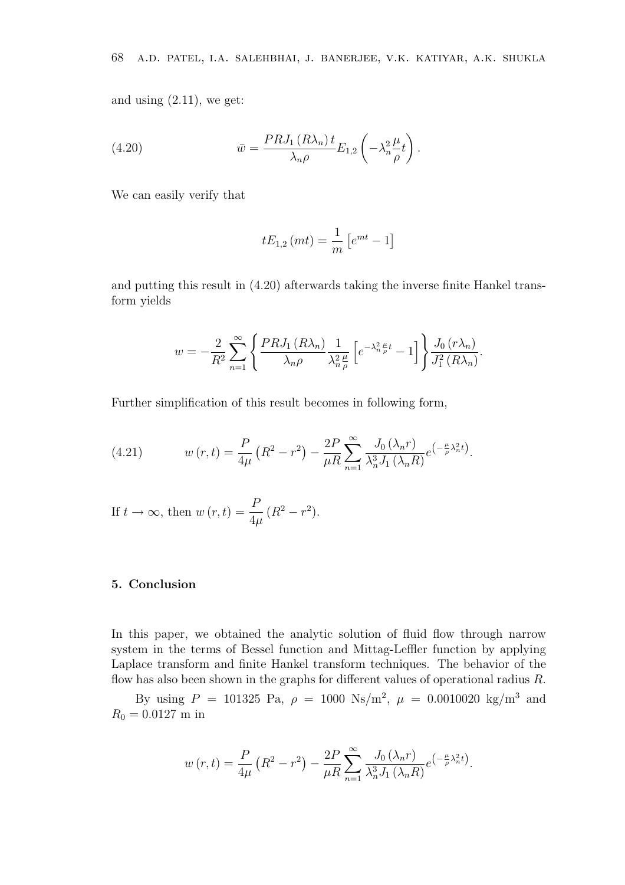and using  $(2.11)$ , we get:

(4.20) 
$$
\bar{w} = \frac{PRJ_1(R\lambda_n)t}{\lambda_n \rho} E_{1,2}\left(-\lambda_n^2 \frac{\mu}{\rho}t\right).
$$

We can easily verify that

$$
tE_{1,2}\left( mt\right) =\frac{1}{m}\left[ e^{mt}-1\right]
$$

and putting this result in (4.20) afterwards taking the inverse finite Hankel transform yields

$$
w = -\frac{2}{R^2} \sum_{n=1}^{\infty} \left\{ \frac{PRJ_1(R\lambda_n)}{\lambda_n \rho} \frac{1}{\lambda_n^2 \frac{\mu}{\rho}} \left[ e^{-\lambda_n^2 \frac{\mu}{\rho} t} - 1 \right] \right\} \frac{J_0(r\lambda_n)}{J_1^2(R\lambda_n)}.
$$

Further simplification of this result becomes in following form,

(4.21) 
$$
w(r,t) = \frac{P}{4\mu} \left( R^2 - r^2 \right) - \frac{2P}{\mu R} \sum_{n=1}^{\infty} \frac{J_0(\lambda_n r)}{\lambda_n^3 J_1(\lambda_n R)} e^{-\frac{\mu}{\rho} \lambda_n^2 t}.
$$

If 
$$
t \to \infty
$$
, then  $w(r, t) = \frac{P}{4\mu} (R^2 - r^2)$ .

### 5. Conclusion

In this paper, we obtained the analytic solution of fluid flow through narrow system in the terms of Bessel function and Mittag-Leffler function by applying Laplace transform and finite Hankel transform techniques. The behavior of the flow has also been shown in the graphs for different values of operational radius  $R$ .

By using  $P = 101325$  Pa,  $\rho = 1000$  Ns/m<sup>2</sup>,  $\mu = 0.0010020$  kg/m<sup>3</sup> and  $R_0 = 0.0127$  m in

$$
w(r,t) = \frac{P}{4\mu} \left( R^2 - r^2 \right) - \frac{2P}{\mu R} \sum_{n=1}^{\infty} \frac{J_0 \left( \lambda_n r \right)}{\lambda_n^3 J_1 \left( \lambda_n R \right)} e^{-\frac{\mu}{\rho} \lambda_n^2 t}.
$$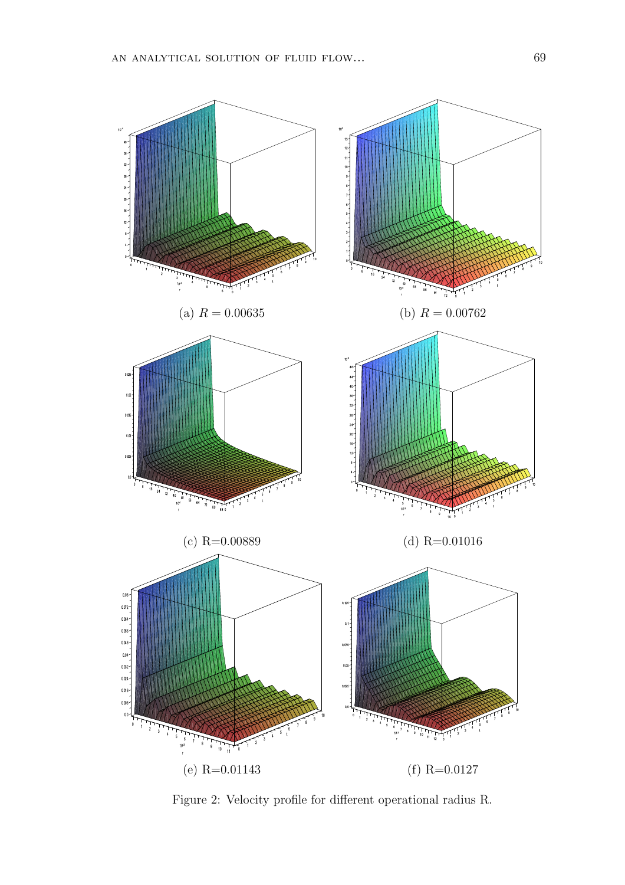

Figure 2: Velocity profile for different operational radius R.